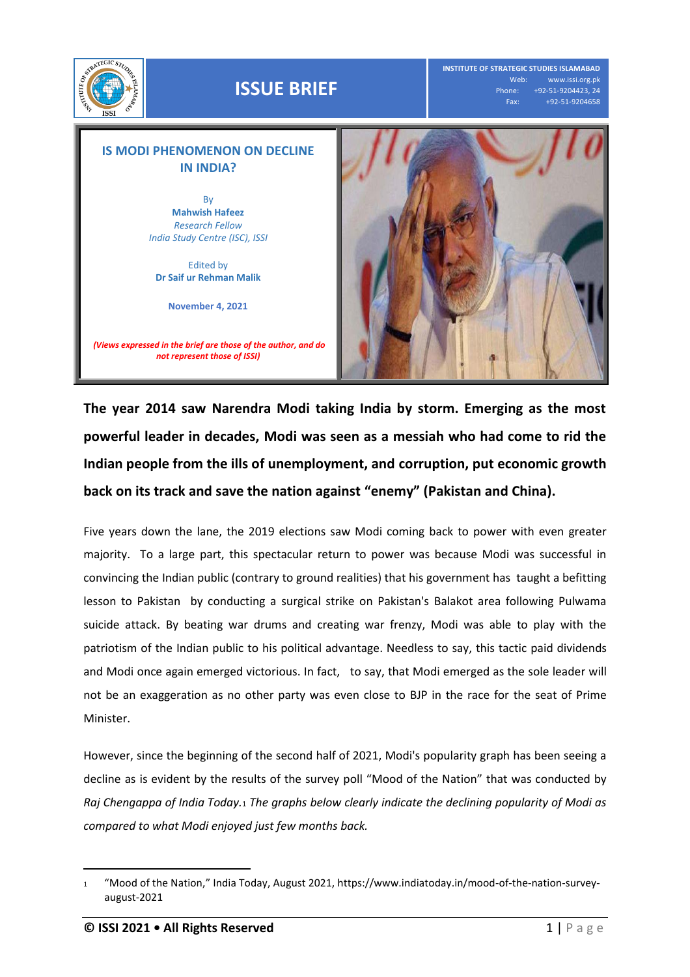

## **ISSUE BRIEF**

**INSTITUTE OF STRATEGIC STUDIES ISLAMABAD** Web: www.issi.org.pk<br>Phone: +92-51-9204423, 24 one: +92-51-9204423, 24<br>Fax: +92-51-9204658 Fax: +92-51-9204658



*(Views expressed in the brief are those of the author, and do not represent those of ISSI)*



**The year 2014 saw Narendra Modi taking India by storm. Emerging as the most powerful leader in decades, Modi was seen as a messiah who had come to rid the Indian people from the ills of unemployment, and corruption, put economic growth back on its track and save the nation against "enemy" (Pakistan and China).** 

Five years down the lane, the 2019 elections saw Modi coming back to power with even greater majority. To a large part, this spectacular return to power was because Modi was successful in convincing the Indian public (contrary to ground realities) that his government has taught a befitting lesson to Pakistan by conducting a surgical strike on Pakistan's Balakot area following Pulwama suicide attack. By beating war drums and creating war frenzy, Modi was able to play with the patriotism of the Indian public to his political advantage. Needless to say, this tactic paid dividends and Modi once again emerged victorious. In fact, to say, that Modi emerged as the sole leader will not be an exaggeration as no other party was even close to BJP in the race for the seat of Prime Minister.

However, since the beginning of the second half of 2021, Modi's popularity graph has been seeing a decline as is evident by the results of the survey poll "Mood of the Nation" that was conducted by *Raj Chengappa of India Today.*<sup>1</sup> *The graphs below clearly indicate the declining popularity of Modi as compared to what Modi enjoyed just few months back.*

 $\overline{a}$ 

<sup>1</sup> "Mood of the Nation," India Today, August 2021, https://www.indiatoday.in/mood-of-the-nation-surveyaugust-2021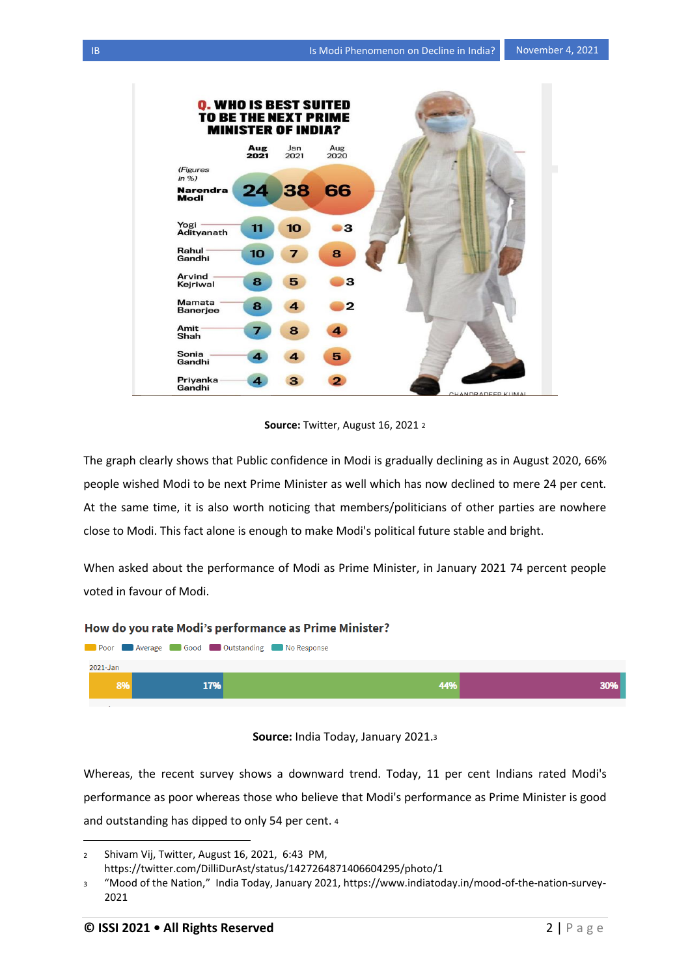

**Source:** Twitter, August 16, 2021 <sup>2</sup>

The graph clearly shows that Public confidence in Modi is gradually declining as in August 2020, 66% people wished Modi to be next Prime Minister as well which has now declined to mere 24 per cent. At the same time, it is also worth noticing that members/politicians of other parties are nowhere close to Modi. This fact alone is enough to make Modi's political future stable and bright.

When asked about the performance of Modi as Prime Minister, in January 2021 74 percent people voted in favour of Modi.

## How do you rate Modi's performance as Prime Minister?



## **Source:** India Today, January 2021.<sup>3</sup>

Whereas, the recent survey shows a downward trend. Today, 11 per cent Indians rated Modi's performance as poor whereas those who believe that Modi's performance as Prime Minister is good and outstanding has dipped to only 54 per cent. <sup>4</sup>

 $\overline{a}$ 

<sup>2</sup> Shivam Vij, Twitter, August 16, 2021, 6:43 PM, https://twitter.com/DilliDurAst/status/1427264871406604295/photo/1

<sup>3</sup> "Mood of the Nation," India Today, January 2021, https://www.indiatoday.in/mood-of-the-nation-survey-2021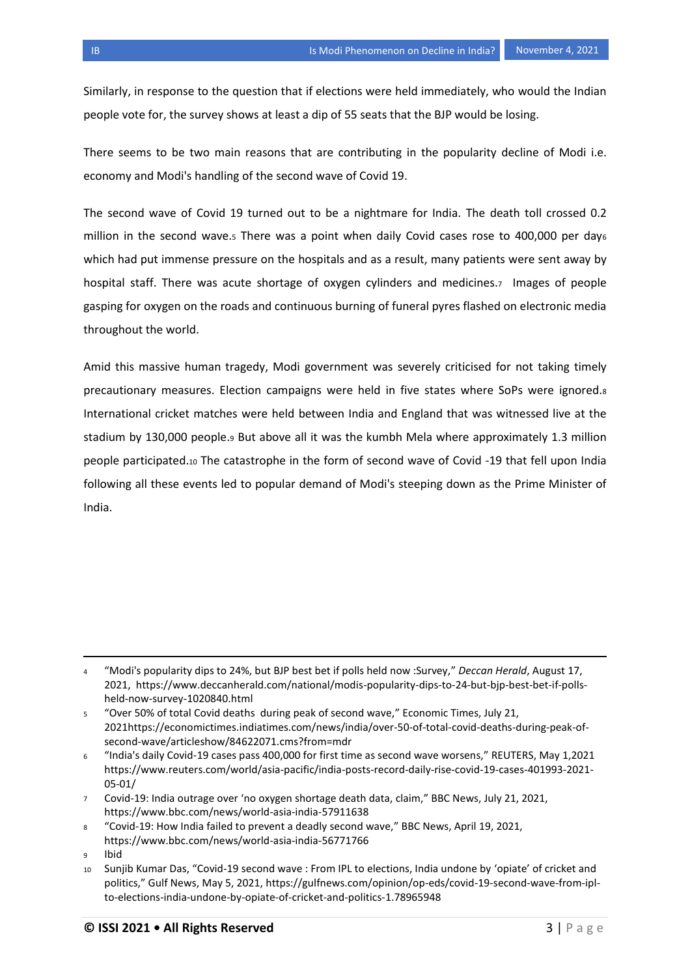Similarly, in response to the question that if elections were held immediately, who would the Indian people vote for, the survey shows at least a dip of 55 seats that the BJP would be losing.

There seems to be two main reasons that are contributing in the popularity decline of Modi i.e. economy and Modi's handling of the second wave of Covid 19.

The second wave of Covid 19 turned out to be a nightmare for India. The death toll crossed 0.2 million in the second wave.5 There was a point when daily Covid cases rose to 400,000 per days which had put immense pressure on the hospitals and as a result, many patients were sent away by hospital staff. There was acute shortage of oxygen cylinders and medicines.<sub>7</sub> Images of people gasping for oxygen on the roads and continuous burning of funeral pyres flashed on electronic media throughout the world.

Amid this massive human tragedy, Modi government was severely criticised for not taking timely precautionary measures. Election campaigns were held in five states where SoPs were ignored.<sup>8</sup> International cricket matches were held between India and England that was witnessed live at the stadium by 130,000 people.<sup>9</sup> But above all it was the kumbh Mela where approximately 1.3 million people participated.<sup>10</sup> The catastrophe in the form of second wave of Covid -19 that fell upon India following all these events led to popular demand of Modi's steeping down as the Prime Minister of India.

l

<sup>4</sup> "Modi's popularity dips to 24%, but BJP best bet if polls held now :Survey," *Deccan Herald*, August 17, 2021, https://www.deccanherald.com/national/modis-popularity-dips-to-24-but-bjp-best-bet-if-pollsheld-now-survey-1020840.html

<sup>5</sup> "Over 50% of total Covid deaths during peak of second wave," Economic Times, July 21, 2021https://economictimes.indiatimes.com/news/india/over-50-of-total-covid-deaths-during-peak-ofsecond-wave/articleshow/84622071.cms?from=mdr

<sup>6</sup> "India's daily Covid-19 cases pass 400,000 for first time as second wave worsens," REUTERS, May 1,2021 https://www.reuters.com/world/asia-pacific/india-posts-record-daily-rise-covid-19-cases-401993-2021- 05-01/

<sup>7</sup> Covid-19: India outrage over 'no oxygen shortage death data, claim," BBC News, July 21, 2021, https://www.bbc.com/news/world-asia-india-57911638

<sup>8</sup> "Covid-19: How India failed to prevent a deadly second wave," BBC News, April 19, 2021, https://www.bbc.com/news/world-asia-india-56771766

<sup>9</sup> Ibid

<sup>10</sup> Sunjib Kumar Das, "Covid-19 second wave : From IPL to elections, India undone by 'opiate' of cricket and politics," Gulf News, May 5, 2021, https://gulfnews.com/opinion/op-eds/covid-19-second-wave-from-iplto-elections-india-undone-by-opiate-of-cricket-and-politics-1.78965948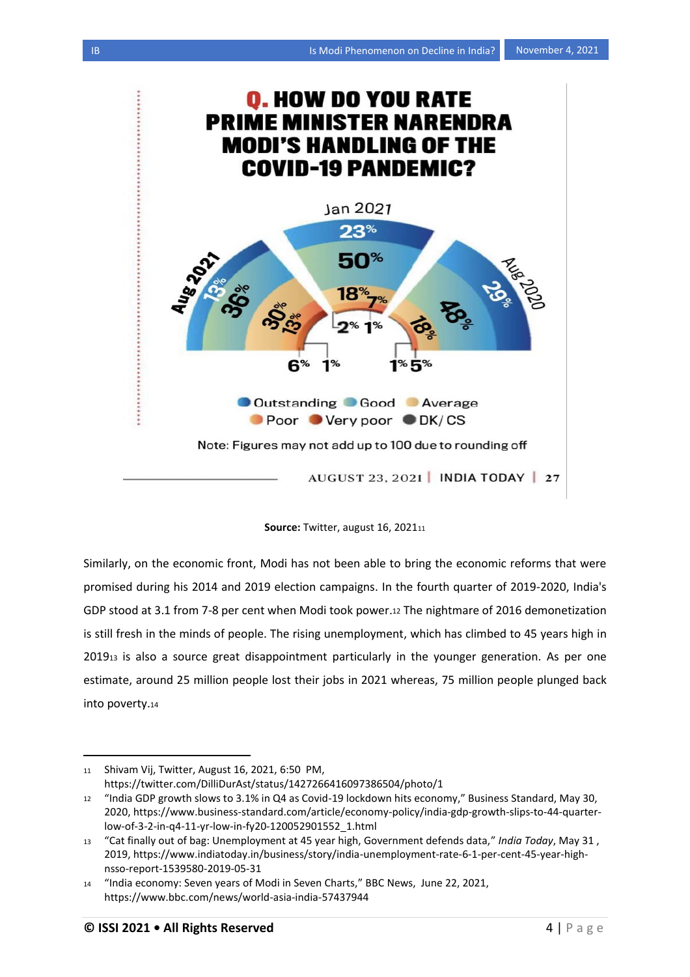



Similarly, on the economic front, Modi has not been able to bring the economic reforms that were promised during his 2014 and 2019 election campaigns. In the fourth quarter of 2019-2020, India's GDP stood at 3.1 from 7-8 per cent when Modi took power.<sup>12</sup> The nightmare of 2016 demonetization is still fresh in the minds of people. The rising unemployment, which has climbed to 45 years high in 2019<sup>13</sup> is also a source great disappointment particularly in the younger generation. As per one estimate, around 25 million people lost their jobs in 2021 whereas, 75 million people plunged back into poverty.<sup>14</sup>

l

<sup>11</sup> Shivam Vij, Twitter, August 16, 2021, 6:50 PM, https://twitter.com/DilliDurAst/status/1427266416097386504/photo/1

<sup>12</sup> "India GDP growth slows to 3.1% in Q4 as Covid-19 lockdown hits economy," Business Standard, May 30, 2020, https://www.business-standard.com/article/economy-policy/india-gdp-growth-slips-to-44-quarterlow-of-3-2-in-q4-11-yr-low-in-fy20-120052901552\_1.html

<sup>13</sup> "Cat finally out of bag: Unemployment at 45 year high, Government defends data," *India Today*, May 31 , 2019, https://www.indiatoday.in/business/story/india-unemployment-rate-6-1-per-cent-45-year-highnsso-report-1539580-2019-05-31

<sup>14</sup> "India economy: Seven years of Modi in Seven Charts," BBC News, June 22, 2021, https://www.bbc.com/news/world-asia-india-57437944